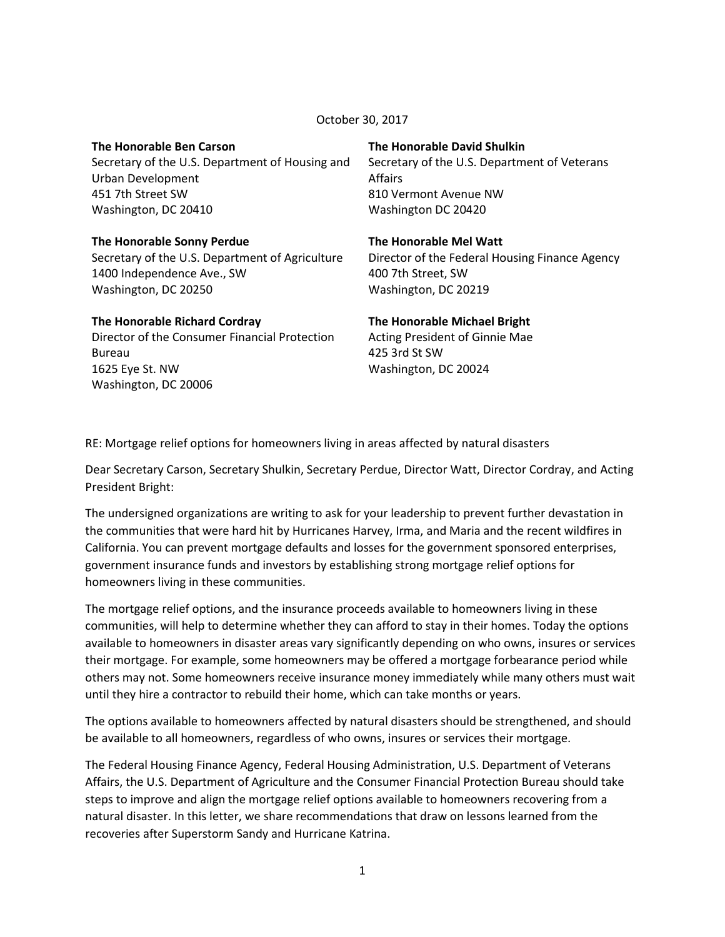October 30, 2017

# **The Honorable Ben Carson**

Secretary of the U.S. Department of Housing and Urban Development 451 7th Street SW Washington, DC 20410

#### **The Honorable Sonny Perdue**

Secretary of the U.S. Department of Agriculture 1400 Independence Ave., SW Washington, DC 20250

# **The Honorable Richard Cordray**

Director of the Consumer Financial Protection Bureau 1625 Eye St. NW Washington, DC 20006

#### **The Honorable David Shulkin**

Secretary of the U.S. Department of Veterans Affairs 810 Vermont Avenue NW Washington DC 20420

#### **The Honorable Mel Watt**

Director of the Federal Housing Finance Agency 400 7th Street, SW Washington, DC 20219

#### **The Honorable Michael Bright**

Acting President of Ginnie Mae 425 3rd St SW Washington, DC 20024

RE: Mortgage relief options for homeowners living in areas affected by natural disasters

Dear Secretary Carson, Secretary Shulkin, Secretary Perdue, Director Watt, Director Cordray, and Acting President Bright:

The undersigned organizations are writing to ask for your leadership to prevent further devastation in the communities that were hard hit by Hurricanes Harvey, Irma, and Maria and the recent wildfires in California. You can prevent mortgage defaults and losses for the government sponsored enterprises, government insurance funds and investors by establishing strong mortgage relief options for homeowners living in these communities.

The mortgage relief options, and the insurance proceeds available to homeowners living in these communities, will help to determine whether they can afford to stay in their homes. Today the options available to homeowners in disaster areas vary significantly depending on who owns, insures or services their mortgage. For example, some homeowners may be offered a mortgage forbearance period while others may not. Some homeowners receive insurance money immediately while many others must wait until they hire a contractor to rebuild their home, which can take months or years.

The options available to homeowners affected by natural disasters should be strengthened, and should be available to all homeowners, regardless of who owns, insures or services their mortgage.

The Federal Housing Finance Agency, Federal Housing Administration, U.S. Department of Veterans Affairs, the U.S. Department of Agriculture and the Consumer Financial Protection Bureau should take steps to improve and align the mortgage relief options available to homeowners recovering from a natural disaster. In this letter, we share recommendations that draw on lessons learned from the recoveries after Superstorm Sandy and Hurricane Katrina.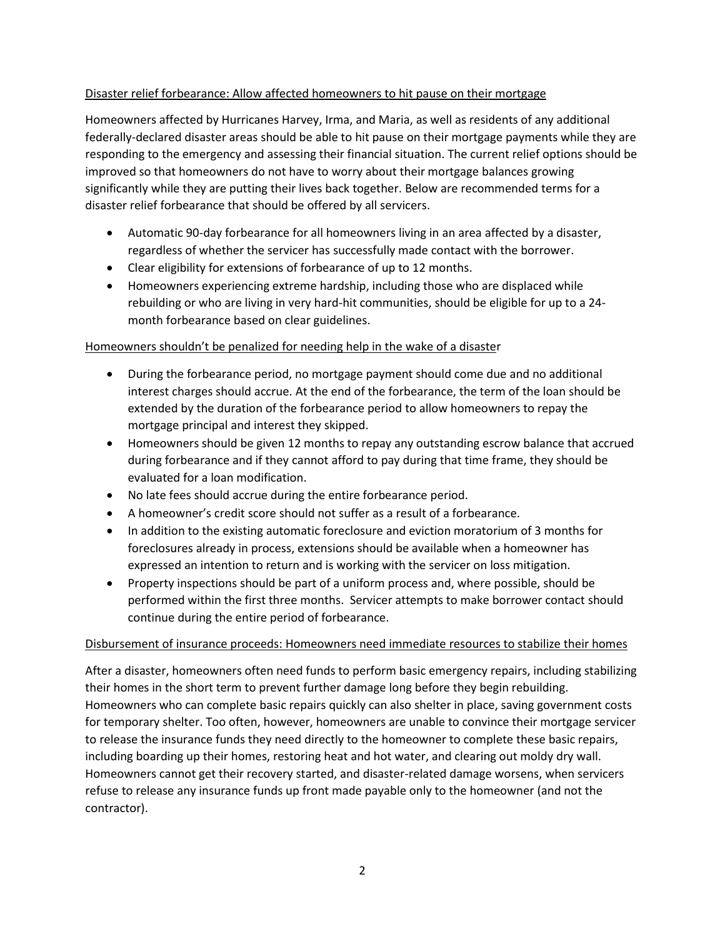### Disaster relief forbearance: Allow affected homeowners to hit pause on their mortgage

Homeowners affected by Hurricanes Harvey, Irma, and Maria, as well as residents of any additional federally-declared disaster areas should be able to hit pause on their mortgage payments while they are responding to the emergency and assessing their financial situation. The current relief options should be improved so that homeowners do not have to worry about their mortgage balances growing significantly while they are putting their lives back together. Below are recommended terms for a disaster relief forbearance that should be offered by all servicers.

- Automatic 90-day forbearance for all homeowners living in an area affected by a disaster, regardless of whether the servicer has successfully made contact with the borrower.
- Clear eligibility for extensions of forbearance of up to 12 months.
- Homeowners experiencing extreme hardship, including those who are displaced while rebuilding or who are living in very hard-hit communities, should be eligible for up to a 24 month forbearance based on clear guidelines.

### Homeowners shouldn't be penalized for needing help in the wake of a disaster

- During the forbearance period, no mortgage payment should come due and no additional interest charges should accrue. At the end of the forbearance, the term of the loan should be extended by the duration of the forbearance period to allow homeowners to repay the mortgage principal and interest they skipped.
- Homeowners should be given 12 months to repay any outstanding escrow balance that accrued during forbearance and if they cannot afford to pay during that time frame, they should be evaluated for a loan modification.
- No late fees should accrue during the entire forbearance period.
- A homeowner's credit score should not suffer as a result of a forbearance.
- In addition to the existing automatic foreclosure and eviction moratorium of 3 months for foreclosures already in process, extensions should be available when a homeowner has expressed an intention to return and is working with the servicer on loss mitigation.
- Property inspections should be part of a uniform process and, where possible, should be performed within the first three months. Servicer attempts to make borrower contact should continue during the entire period of forbearance.

#### Disbursement of insurance proceeds: Homeowners need immediate resources to stabilize their homes

After a disaster, homeowners often need funds to perform basic emergency repairs, including stabilizing their homes in the short term to prevent further damage long before they begin rebuilding. Homeowners who can complete basic repairs quickly can also shelter in place, saving government costs for temporary shelter. Too often, however, homeowners are unable to convince their mortgage servicer to release the insurance funds they need directly to the homeowner to complete these basic repairs, including boarding up their homes, restoring heat and hot water, and clearing out moldy dry wall. Homeowners cannot get their recovery started, and disaster-related damage worsens, when servicers refuse to release any insurance funds up front made payable only to the homeowner (and not the contractor).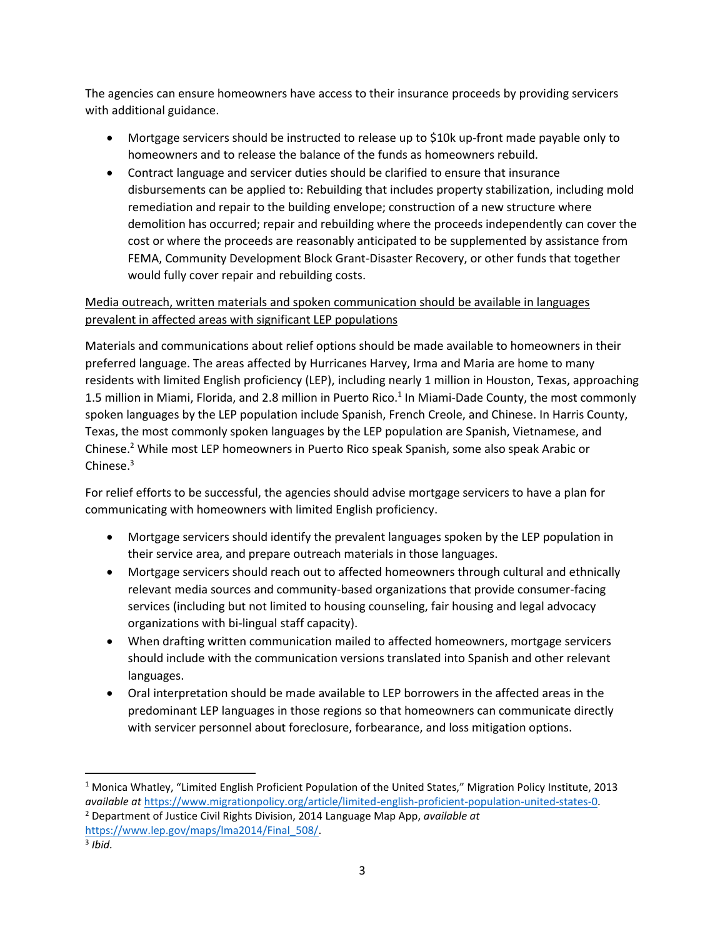The agencies can ensure homeowners have access to their insurance proceeds by providing servicers with additional guidance.

- Mortgage servicers should be instructed to release up to \$10k up-front made payable only to homeowners and to release the balance of the funds as homeowners rebuild.
- Contract language and servicer duties should be clarified to ensure that insurance disbursements can be applied to: Rebuilding that includes property stabilization, including mold remediation and repair to the building envelope; construction of a new structure where demolition has occurred; repair and rebuilding where the proceeds independently can cover the cost or where the proceeds are reasonably anticipated to be supplemented by assistance from FEMA, Community Development Block Grant-Disaster Recovery, or other funds that together would fully cover repair and rebuilding costs.

## Media outreach, written materials and spoken communication should be available in languages prevalent in affected areas with significant LEP populations

Materials and communications about relief options should be made available to homeowners in their preferred language. The areas affected by Hurricanes Harvey, Irma and Maria are home to many residents with limited English proficiency (LEP), including nearly 1 million in Houston, Texas, approaching 1.5 million in Miami, Florida, and 2.8 million in Puerto Rico.<sup>1</sup> In Miami-Dade County, the most commonly spoken languages by the LEP population include Spanish, French Creole, and Chinese. In Harris County, Texas, the most commonly spoken languages by the LEP population are Spanish, Vietnamese, and Chinese.<sup>2</sup> While most LEP homeowners in Puerto Rico speak Spanish, some also speak Arabic or Chinese. $3$ 

For relief efforts to be successful, the agencies should advise mortgage servicers to have a plan for communicating with homeowners with limited English proficiency.

- Mortgage servicers should identify the prevalent languages spoken by the LEP population in their service area, and prepare outreach materials in those languages.
- Mortgage servicers should reach out to affected homeowners through cultural and ethnically relevant media sources and community-based organizations that provide consumer-facing services (including but not limited to housing counseling, fair housing and legal advocacy organizations with bi-lingual staff capacity).
- When drafting written communication mailed to affected homeowners, mortgage servicers should include with the communication versions translated into Spanish and other relevant languages.
- Oral interpretation should be made available to LEP borrowers in the affected areas in the predominant LEP languages in those regions so that homeowners can communicate directly with servicer personnel about foreclosure, forbearance, and loss mitigation options.

 $\overline{\phantom{a}}$ 

<sup>1</sup> Monica Whatley, "Limited English Proficient Population of the United States," Migration Policy Institute, 2013 *available at* [https://www.migrationpolicy.org/article/limited-english-proficient-population-united-states-0.](https://www.migrationpolicy.org/article/limited-english-proficient-population-united-states-0) <sup>2</sup> Department of Justice Civil Rights Division, 2014 Language Map App, *available at*

[https://www.lep.gov/maps/lma2014/Final\\_508/.](https://www.lep.gov/maps/lma2014/Final_508/)

<sup>3</sup> *Ibid.*